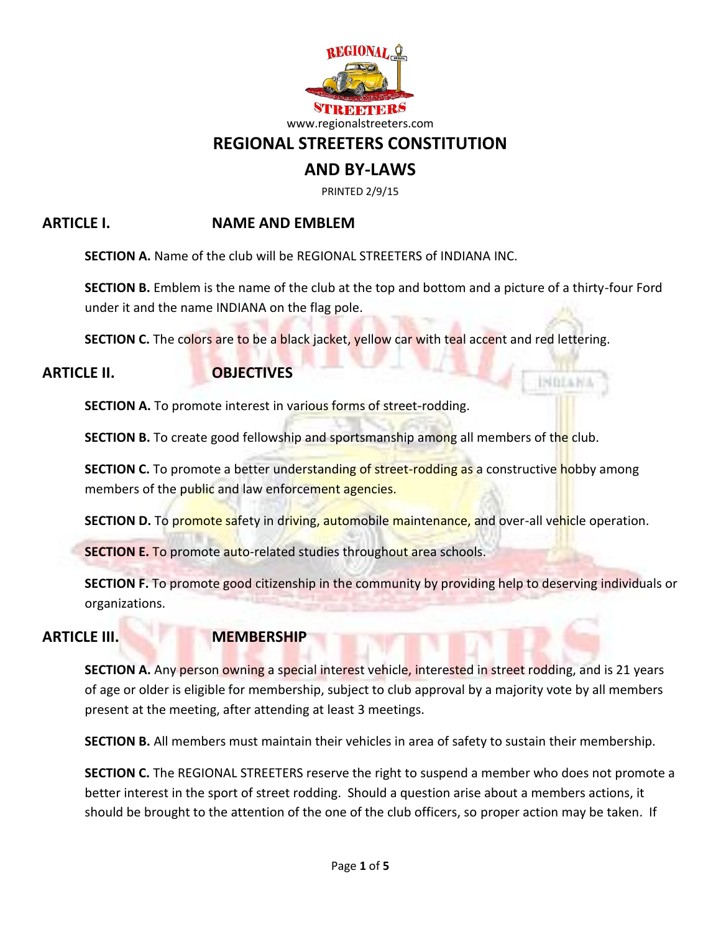

# **REGIONAL STREETERS CONSTITUTION**

# **AND BY-LAWS**

PRINTED 2/9/15

# **ARTICLE I. NAME AND EMBLEM**

**SECTION A.** Name of the club will be REGIONAL STREETERS of INDIANA INC.

**SECTION B.** Emblem is the name of the club at the top and bottom and a picture of a thirty-four Ford under it and the name INDIANA on the flag pole.

INDLAN3

**SECTION C.** The colors are to be a black jacket, yellow car with teal accent and red lettering.

### **ARTICLE II. OBJECTIVES**

**SECTION A.** To promote interest in various forms of street-rodding.

**SECTION B.** To create good fellowship and sportsmanship among all members of the club.

**SECTION C.** To promote a better understanding of street-rodding as a constructive hobby among members of the public and law enforcement agencies.

**SECTION D.** To promote safety in driving, automobile maintenance, and over-all vehicle operation.

**SECTION E. To promote auto-related studies throughout area schools.** 

**SECTION F.** To promote good citizenship in the community by providing help to deserving individuals or organizations.

## **ARTICLE III. MEMBERSHIP**

**SECTION A.** Any person owning a special interest vehicle, interested in street rodding, and is 21 years of age or older is eligible for membership, subject to club approval by a majority vote by all members present at the meeting, after attending at least 3 meetings.

**SECTION B.** All members must maintain their vehicles in area of safety to sustain their membership.

**SECTION C.** The REGIONAL STREETERS reserve the right to suspend a member who does not promote a better interest in the sport of street rodding. Should a question arise about a members actions, it should be brought to the attention of the one of the club officers, so proper action may be taken. If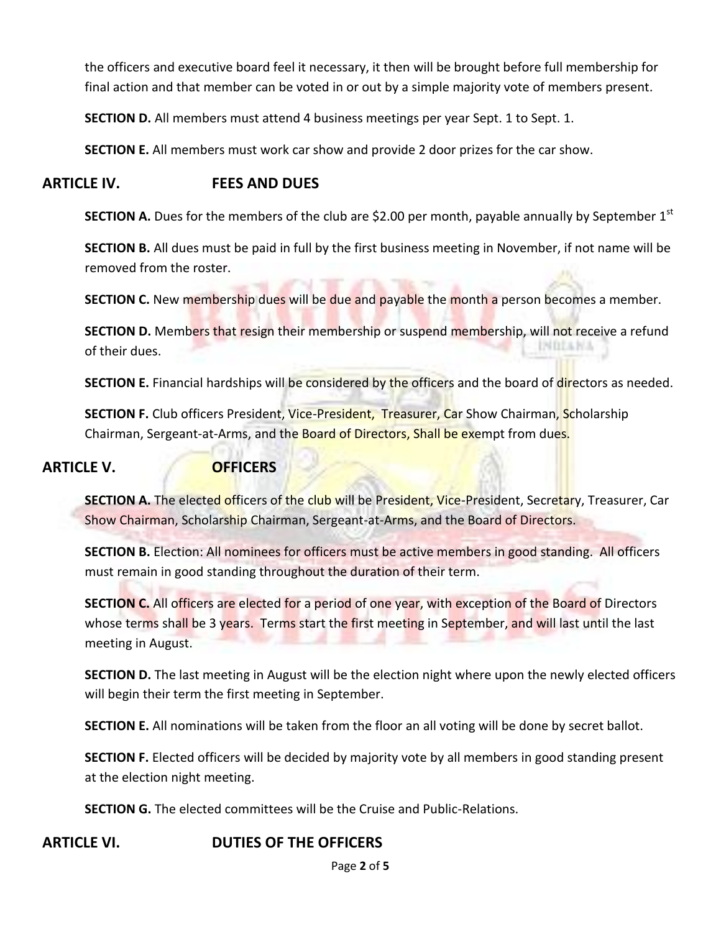the officers and executive board feel it necessary, it then will be brought before full membership for final action and that member can be voted in or out by a simple majority vote of members present.

**SECTION D.** All members must attend 4 business meetings per year Sept. 1 to Sept. 1.

**SECTION E.** All members must work car show and provide 2 door prizes for the car show.

## **ARTICLE IV. FEES AND DUES**

**SECTION A.** Dues for the members of the club are \$2.00 per month, payable annually by September 1<sup>st</sup>

**SECTION B.** All dues must be paid in full by the first business meeting in November, if not name will be removed from the roster.

**SECTION C.** New membership dues will be due and payable the month a person becomes a member.

**SECTION D.** Members that resign their membership or suspend membership, will not receive a refund **INDIANA** of their dues.

**SECTION E.** Financial hardships will be considered by the officers and the board of directors as needed.

**SECTION F.** Club officers President, Vice-President, Treasurer, Car Show Chairman, Scholarship Chairman, Sergeant-at-Arms, and the Board of Directors, Shall be exempt from dues.

### **ARTICLE V. OFFICERS**

**SECTION A.** The elected officers of the club will be President, Vice-President, Secretary, Treasurer, Car Show Chairman, Scholarship Chairman, Sergeant-at-Arms, and the Board of Directors.

**SECTION B.** Election: All nominees for officers must be active members in good standing. All officers must remain in good standing throughout the duration of their term.

**SECTION C.** All officers are elected for a period of one year, with exception of the Board of Directors whose terms shall be 3 years. Terms start the first meeting in September, and will last until the last meeting in August.

**SECTION D.** The last meeting in August will be the election night where upon the newly elected officers will begin their term the first meeting in September.

**SECTION E.** All nominations will be taken from the floor an all voting will be done by secret ballot.

**SECTION F.** Elected officers will be decided by majority vote by all members in good standing present at the election night meeting.

**SECTION G.** The elected committees will be the Cruise and Public-Relations.

### **ARTICLE VI. DUTIES OF THE OFFICERS**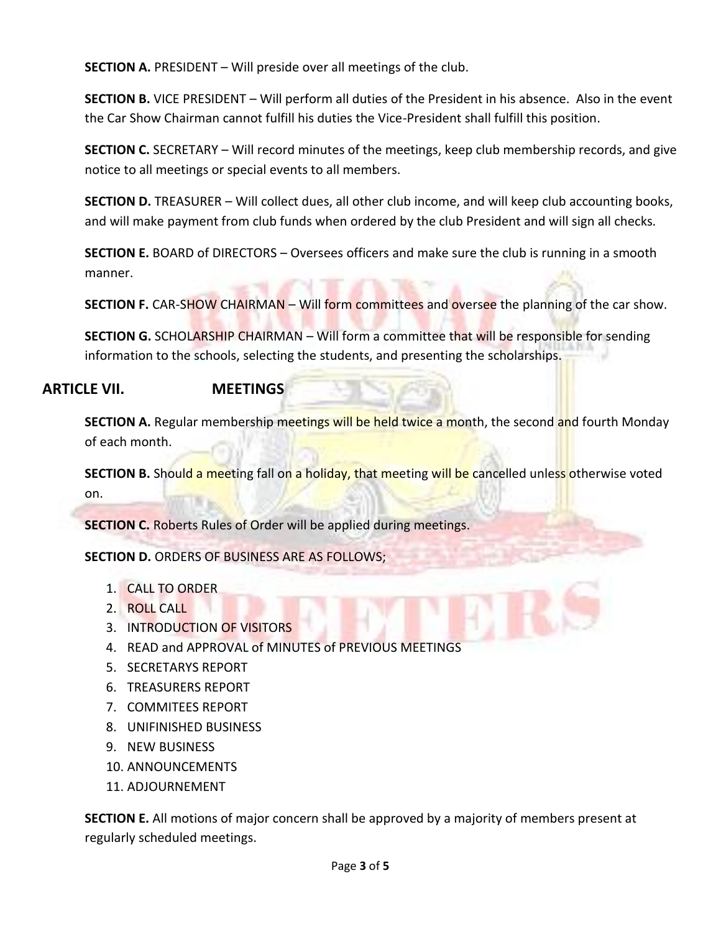**SECTION A.** PRESIDENT – Will preside over all meetings of the club.

**SECTION B.** VICE PRESIDENT – Will perform all duties of the President in his absence. Also in the event the Car Show Chairman cannot fulfill his duties the Vice-President shall fulfill this position.

**SECTION C.** SECRETARY – Will record minutes of the meetings, keep club membership records, and give notice to all meetings or special events to all members.

**SECTION D.** TREASURER – Will collect dues, all other club income, and will keep club accounting books, and will make payment from club funds when ordered by the club President and will sign all checks.

**SECTION E.** BOARD of DIRECTORS – Oversees officers and make sure the club is running in a smooth manner.

**SECTION F.** CAR-SHOW CHAIRMAN – Will form committees and oversee the planning of the car show.

**SECTION G.** SCHOLARSHIP CHAIRMAN – Will form a committee that will be responsible for sending information to the schools, selecting the students, and presenting the scholarships.

# **ARTICLE VII. MEETINGS**

**SECTION A.** Regular membership meetings will be held twice a month, the second and fourth Monday of each month.

**SECTION B.** Should a meeting fall on a holiday, that meeting will be cancelled unless otherwise voted on.

**SECTION C.** Roberts Rules of Order will be applied during meetings.

**SECTION D.** ORDERS OF BUSINESS ARE AS FOLLOWS;

- 1. CALL TO ORDER
- 2. ROLL CALL
- 3. INTRODUCTION OF VISITORS
- 4. READ and APPROVAL of MINUTES of PREVIOUS MEETINGS
- 5. SECRETARYS REPORT
- 6. TREASURERS REPORT
- 7. COMMITEES REPORT
- 8. UNIFINISHED BUSINESS
- 9. NEW BUSINESS
- 10. ANNOUNCEMENTS
- 11. ADJOURNEMENT

**SECTION E.** All motions of major concern shall be approved by a majority of members present at regularly scheduled meetings.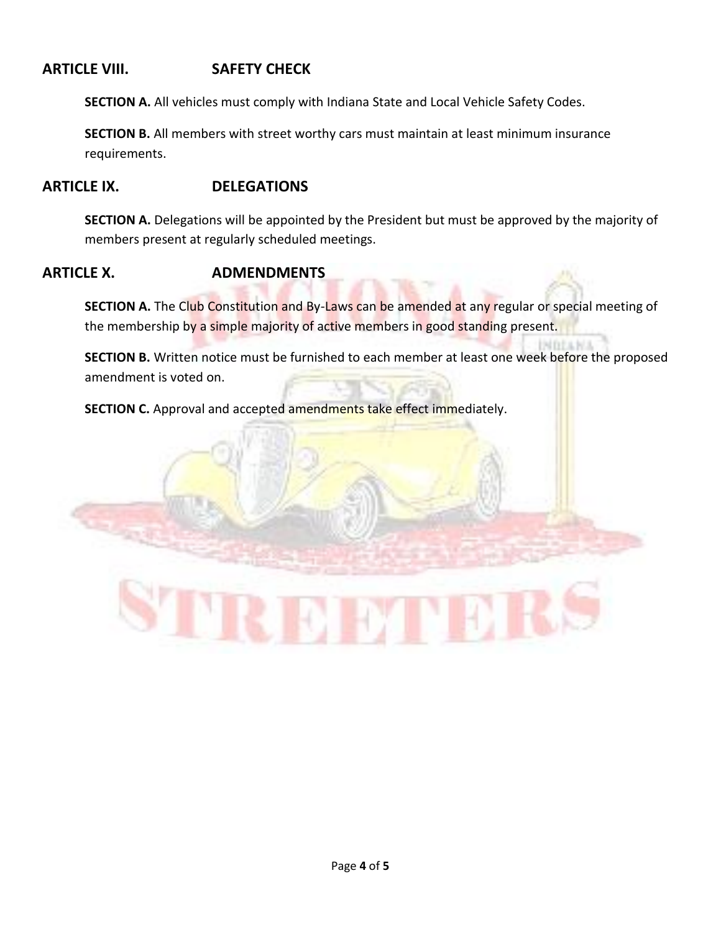# **ARTICLE VIII. SAFETY CHECK**

**SECTION A.** All vehicles must comply with Indiana State and Local Vehicle Safety Codes.

**SECTION B.** All members with street worthy cars must maintain at least minimum insurance requirements.

### **ARTICLE IX. DELEGATIONS**

**SECTION A.** Delegations will be appointed by the President but must be approved by the majority of members present at regularly scheduled meetings.

#### **ARTICLE X. ADMENDMENTS**

**SECTION A.** The Club Constitution and By-Laws can be amended at any regular or special meeting of the membership by a simple majority of active members in good standing present.

**SECTION B.** Written notice must be furnished to each member at least one week before the proposed amendment is voted on.

**SECTION C.** Approval and accepted amendments take effect immediately.